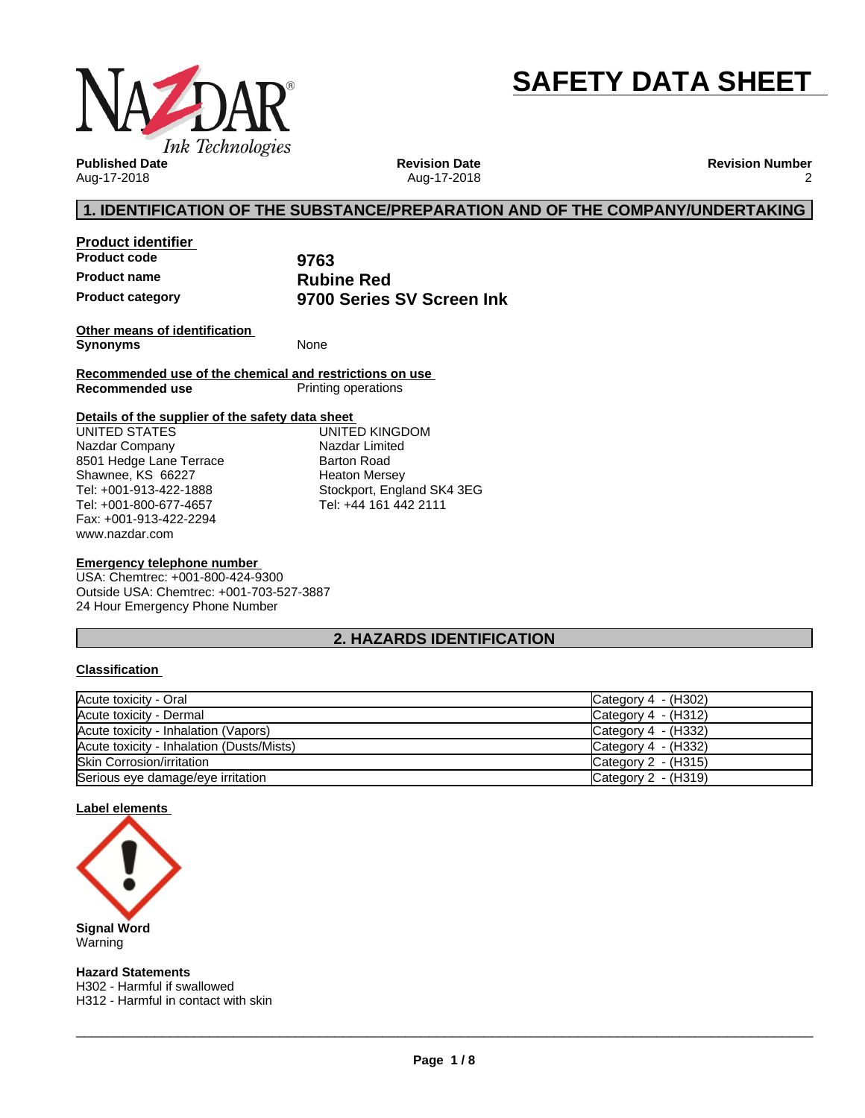

# **SAFETY DATA SHEET**

**Published Date** Aug-17-2018

**Revision Date** Aug-17-2018 **Revision Number** 2

# **1. IDENTIFICATION OF THE SUBSTANCE/PREPARATION AND OF THE COMPANY/UNDERTAKING**

**Product identifier Product code 9763 Product name**<br> **Product category**<br> **Product category**<br> **Rubine Red**<br> **Rubine Red**<br> **Rubine Red** 

**Product category 9700 Series SV Screen Ink**

**Other means of identification Synonyms** None

**Recommended use of the chemical and restrictions on use Printing operations** 

## **Details of the supplier of the safety data sheet**

www.nazdar.com UNITED STATES Nazdar Company 8501 Hedge Lane Terrace Shawnee, KS 66227 Tel: +001-913-422-1888 Tel: +001-800-677-4657 Fax: +001-913-422-2294

UNITED KINGDOM Nazdar Limited Barton Road Heaton Mersey Stockport, England SK4 3EG Tel: +44 161 442 2111

## **Emergency telephone number**

USA: Chemtrec: +001-800-424-9300 Outside USA: Chemtrec: +001-703-527-3887 24 Hour Emergency Phone Number

# **2. HAZARDS IDENTIFICATION**

## **Classification**

| Acute toxicity - Oral                     | Category 4 $-$ (H302) |
|-------------------------------------------|-----------------------|
| Acute toxicity - Dermal                   | Category $4 - (H312)$ |
| Acute toxicity - Inhalation (Vapors)      | Category $4 - (H332)$ |
| Acute toxicity - Inhalation (Dusts/Mists) | Category $4 - (H332)$ |
| <b>Skin Corrosion/irritation</b>          | Category $2 - (H315)$ |
| Serious eye damage/eye irritation         | Category $2 - (H319)$ |

## **Label elements**



**Hazard Statements** H302 - Harmful if swallowed H312 - Harmful in contact with skin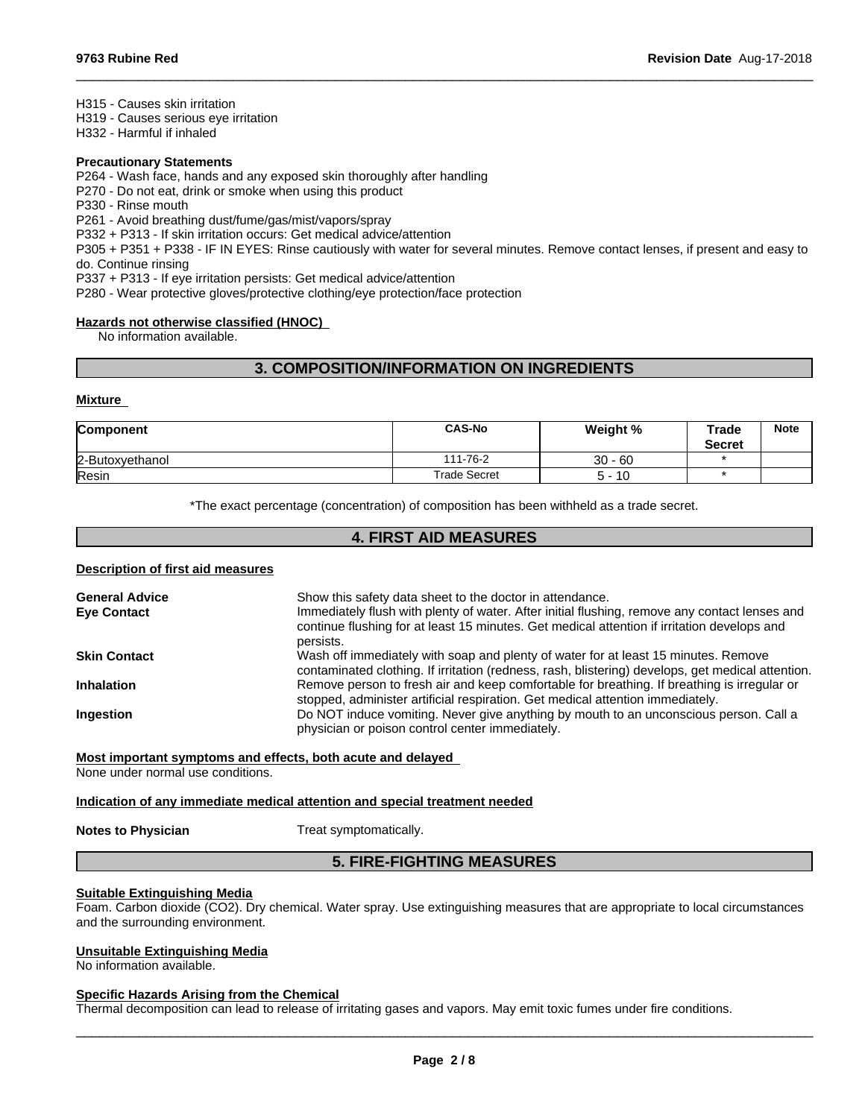H315 - Causes skin irritation

H319 - Causes serious eye irritation

H332 - Harmful if inhaled

#### **Precautionary Statements**

P264 - Wash face, hands and any exposed skin thoroughly after handling

P270 - Do not eat, drink or smoke when using this product

P330 - Rinse mouth

P261 - Avoid breathing dust/fume/gas/mist/vapors/spray

P332 + P313 - If skin irritation occurs: Get medical advice/attention

P305 + P351 + P338 - IF IN EYES: Rinse cautiously with water forseveral minutes. Remove contact lenses, if present and easy to do. Continue rinsing

 $\_$  ,  $\_$  ,  $\_$  ,  $\_$  ,  $\_$  ,  $\_$  ,  $\_$  ,  $\_$  ,  $\_$  ,  $\_$  ,  $\_$  ,  $\_$  ,  $\_$  ,  $\_$  ,  $\_$  ,  $\_$  ,  $\_$  ,  $\_$  ,  $\_$  ,  $\_$  ,  $\_$  ,  $\_$  ,  $\_$  ,  $\_$  ,  $\_$  ,  $\_$  ,  $\_$  ,  $\_$  ,  $\_$  ,  $\_$  ,  $\_$  ,  $\_$  ,  $\_$  ,  $\_$  ,  $\_$  ,  $\_$  ,  $\_$  ,

P337 + P313 - If eye irritation persists: Get medical advice/attention

P280 - Wear protective gloves/protective clothing/eye protection/face protection

#### **Hazards not otherwise classified (HNOC)**

No information available.

# **3. COMPOSITION/INFORMATION ON INGREDIENTS**

#### **Mixture**

| <b>Component</b> | <b>CAS-No</b>       | Weight %  | Trade<br><b>Secret</b> | <b>Note</b> |
|------------------|---------------------|-----------|------------------------|-------------|
| 2-Butoxyethanol  | 111-76-2            | $30 - 60$ |                        |             |
| Resin            | <b>Trade Secret</b> | $5 - 10$  |                        |             |

\*The exact percentage (concentration) of composition has been withheld as a trade secret.

# **4. FIRST AID MEASURES**

#### **Description of first aid measures**

| <b>General Advice</b> | Show this safety data sheet to the doctor in attendance.                                                                                                                                                  |
|-----------------------|-----------------------------------------------------------------------------------------------------------------------------------------------------------------------------------------------------------|
| <b>Eve Contact</b>    | Immediately flush with plenty of water. After initial flushing, remove any contact lenses and<br>continue flushing for at least 15 minutes. Get medical attention if irritation develops and<br>persists. |
| <b>Skin Contact</b>   | Wash off immediately with soap and plenty of water for at least 15 minutes. Remove<br>contaminated clothing. If irritation (redness, rash, blistering) develops, get medical attention.                   |
| <b>Inhalation</b>     | Remove person to fresh air and keep comfortable for breathing. If breathing is irregular or<br>stopped, administer artificial respiration. Get medical attention immediately.                             |
| <b>Ingestion</b>      | Do NOT induce vomiting. Never give anything by mouth to an unconscious person. Call a<br>physician or poison control center immediately.                                                                  |

#### **Most important symptoms and effects, both acute and delayed**

None under normal use conditions.

#### **Indication of any immediate medical attention and special treatment needed**

**Notes to Physician** Treat symptomatically.

# **5. FIRE-FIGHTING MEASURES**

#### **Suitable Extinguishing Media**

Foam. Carbon dioxide (CO2). Dry chemical. Water spray. Use extinguishing measures that are appropriate to local circumstances and the surrounding environment.

#### **Unsuitable Extinguishing Media**

No information available.

### **Specific Hazards Arising from the Chemical**

Thermal decomposition can lead to release of irritating gases and vapors. May emit toxic fumes under fire conditions.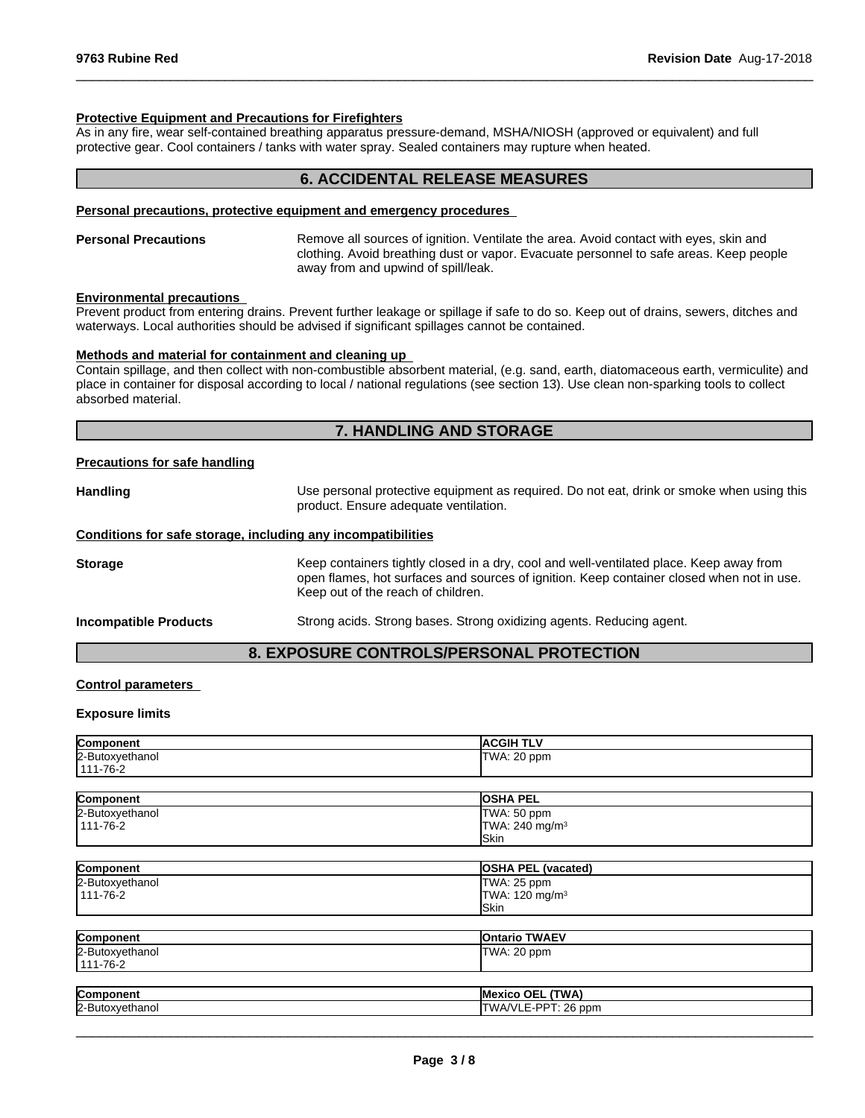#### **Protective Equipment and Precautions for Firefighters**

As in any fire, wear self-contained breathing apparatus pressure-demand, MSHA/NIOSH (approved or equivalent) and full protective gear. Cool containers / tanks with water spray. Sealed containers may rupture when heated.

# **6. ACCIDENTAL RELEASE MEASURES**

 $\_$  ,  $\_$  ,  $\_$  ,  $\_$  ,  $\_$  ,  $\_$  ,  $\_$  ,  $\_$  ,  $\_$  ,  $\_$  ,  $\_$  ,  $\_$  ,  $\_$  ,  $\_$  ,  $\_$  ,  $\_$  ,  $\_$  ,  $\_$  ,  $\_$  ,  $\_$  ,  $\_$  ,  $\_$  ,  $\_$  ,  $\_$  ,  $\_$  ,  $\_$  ,  $\_$  ,  $\_$  ,  $\_$  ,  $\_$  ,  $\_$  ,  $\_$  ,  $\_$  ,  $\_$  ,  $\_$  ,  $\_$  ,  $\_$  ,

#### **Personal precautions, protective equipment and emergency procedures**

#### **Personal Precautions** Remove all sources of ignition. Ventilate the area. Avoid contact with eyes, skin and clothing. Avoid breathing dust or vapor. Evacuate personnel to safe areas. Keep people away from and upwind of spill/leak.

#### **Environmental precautions**

Prevent product from entering drains. Prevent further leakage or spillage if safe to do so. Keep out of drains, sewers, ditches and waterways. Local authorities should be advised if significant spillages cannot be contained.

#### **Methods and material for containment and cleaning up**

Contain spillage, and then collect with non-combustible absorbent material, (e.g. sand, earth, diatomaceous earth, vermiculite) and place in container for disposal according to local / national regulations (see section 13). Use clean non-sparking tools to collect absorbed material.

## **7. HANDLING AND STORAGE**

#### **Precautions for safe handling**

| Handling | Use personal protective equipment as required. Do not eat, drink or smoke when using this<br>product. Ensure adequate ventilation. |
|----------|------------------------------------------------------------------------------------------------------------------------------------|
|          |                                                                                                                                    |

# **Conditions for safe storage, including any incompatibilities**

**Storage** Keep containers tightly closed in a dry, cool and well-ventilated place. Keep away from open flames, hot surfaces and sources of ignition. Keep container closed when not in use. Keep out of the reach of children.

**Incompatible Products** Strong acids. Strong bases. Strong oxidizing agents. Reducing agent.

# **8. EXPOSURE CONTROLS/PERSONAL PROTECTION**

#### **Control parameters**

#### **Exposure limits**

| Component<br>י יווטווע | эн -<br>.                                             |
|------------------------|-------------------------------------------------------|
| 2-Butoxy<br>ำanol      | $\sim$ $\sim$<br>ppm.<br>101N<br>. <b>.</b> .<br>1.40 |
| 7C<br>111<br>ے۔ 10۔∟   |                                                       |

| Component       | <b>OSHA PEL</b>            |  |
|-----------------|----------------------------|--|
| 2-Butoxyethanol | TWA: 50 ppm                |  |
| 111-76-2        | TWA: 240 mg/m <sup>3</sup> |  |
|                 | <b>Skin</b>                |  |
|                 |                            |  |
| Component       | <b>OSHA PEL (vacated)</b>  |  |
| 2-Butoxyethanol | TWA: 25 ppm                |  |
| 111-76-2        | TWA: 120 mg/m <sup>3</sup> |  |
|                 | Skin                       |  |
|                 |                            |  |
| Component       | <b>Ontario TWAEV</b>       |  |
| 2-Butoxyethanol | TWA: 20 ppm                |  |
| 111-76-2        |                            |  |
|                 |                            |  |

| <b>Cc</b> | -----        |
|-----------|--------------|
| $ -$      | --           |
| - --      | $\mathbf{u}$ |
| In.       | חח           |
| $\sim$    | ~~           |
| .         | ppm          |
| ⊷         | $\cdots$     |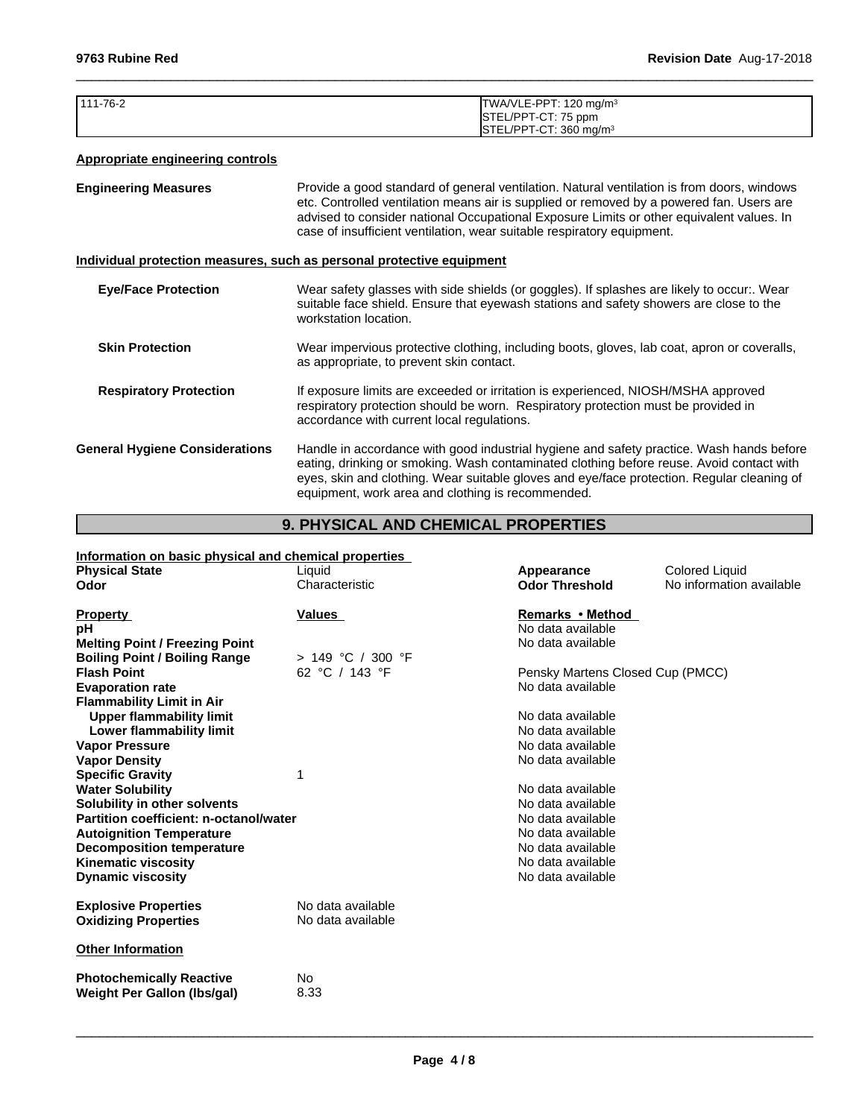| $1111 - 76 - 2$ | TWA/VLE-PPT: 120 mg/m <sup>3</sup>    |
|-----------------|---------------------------------------|
|                 | STEL/PPT-CT: 75 ppm                   |
|                 | $ISTEL/PPT-CT: 360$ ma/m <sup>3</sup> |

 $\_$  ,  $\_$  ,  $\_$  ,  $\_$  ,  $\_$  ,  $\_$  ,  $\_$  ,  $\_$  ,  $\_$  ,  $\_$  ,  $\_$  ,  $\_$  ,  $\_$  ,  $\_$  ,  $\_$  ,  $\_$  ,  $\_$  ,  $\_$  ,  $\_$  ,  $\_$  ,  $\_$  ,  $\_$  ,  $\_$  ,  $\_$  ,  $\_$  ,  $\_$  ,  $\_$  ,  $\_$  ,  $\_$  ,  $\_$  ,  $\_$  ,  $\_$  ,  $\_$  ,  $\_$  ,  $\_$  ,  $\_$  ,  $\_$  ,

# **Appropriate engineering controls**

| <b>Engineering Measures</b>           | Provide a good standard of general ventilation. Natural ventilation is from doors, windows<br>etc. Controlled ventilation means air is supplied or removed by a powered fan. Users are<br>advised to consider national Occupational Exposure Limits or other equivalent values. In<br>case of insufficient ventilation, wear suitable respiratory equipment. |  |
|---------------------------------------|--------------------------------------------------------------------------------------------------------------------------------------------------------------------------------------------------------------------------------------------------------------------------------------------------------------------------------------------------------------|--|
|                                       | Individual protection measures, such as personal protective equipment                                                                                                                                                                                                                                                                                        |  |
| <b>Eye/Face Protection</b>            | Wear safety glasses with side shields (or goggles). If splashes are likely to occur:. Wear<br>suitable face shield. Ensure that eyewash stations and safety showers are close to the<br>workstation location.                                                                                                                                                |  |
| <b>Skin Protection</b>                | Wear impervious protective clothing, including boots, gloves, lab coat, apron or coveralls,<br>as appropriate, to prevent skin contact.                                                                                                                                                                                                                      |  |
| <b>Respiratory Protection</b>         | If exposure limits are exceeded or irritation is experienced, NIOSH/MSHA approved<br>respiratory protection should be worn. Respiratory protection must be provided in<br>accordance with current local regulations.                                                                                                                                         |  |
| <b>General Hygiene Considerations</b> | Handle in accordance with good industrial hygiene and safety practice. Wash hands before<br>eating, drinking or smoking. Wash contaminated clothing before reuse. Avoid contact with<br>eyes, skin and clothing. Wear suitable gloves and eye/face protection. Regular cleaning of<br>equipment, work area and clothing is recommended.                      |  |

# **9. PHYSICAL AND CHEMICAL PROPERTIES**

| Information on basic physical and chemical properties |                     |                                  |                          |
|-------------------------------------------------------|---------------------|----------------------------------|--------------------------|
| <b>Physical State</b>                                 | Liquid              | Appearance                       | <b>Colored Liquid</b>    |
| Odor                                                  | Characteristic      | <b>Odor Threshold</b>            | No information available |
|                                                       |                     |                                  |                          |
| <b>Property</b>                                       | <b>Values</b>       | Remarks • Method                 |                          |
| рH                                                    |                     | No data available                |                          |
| <b>Melting Point / Freezing Point</b>                 |                     | No data available                |                          |
| <b>Boiling Point / Boiling Range</b>                  | $> 149$ °C / 300 °F |                                  |                          |
| <b>Flash Point</b>                                    | 62 °C / 143 °F      | Pensky Martens Closed Cup (PMCC) |                          |
| <b>Evaporation rate</b>                               |                     | No data available                |                          |
| <b>Flammability Limit in Air</b>                      |                     |                                  |                          |
| <b>Upper flammability limit</b>                       |                     | No data available                |                          |
| Lower flammability limit                              |                     | No data available                |                          |
| <b>Vapor Pressure</b>                                 |                     | No data available                |                          |
| <b>Vapor Density</b>                                  |                     | No data available                |                          |
| <b>Specific Gravity</b>                               |                     |                                  |                          |
| <b>Water Solubility</b>                               |                     | No data available                |                          |
| Solubility in other solvents                          |                     | No data available                |                          |
| Partition coefficient: n-octanol/water                |                     | No data available                |                          |
| <b>Autoignition Temperature</b>                       |                     | No data available                |                          |
| <b>Decomposition temperature</b>                      |                     | No data available                |                          |
| <b>Kinematic viscosity</b>                            |                     | No data available                |                          |
| <b>Dynamic viscosity</b>                              |                     | No data available                |                          |
|                                                       |                     |                                  |                          |
| <b>Explosive Properties</b>                           | No data available   |                                  |                          |
| <b>Oxidizing Properties</b>                           | No data available   |                                  |                          |
|                                                       |                     |                                  |                          |
| <b>Other Information</b>                              |                     |                                  |                          |
| <b>Photochemically Reactive</b>                       | No.                 |                                  |                          |
| Weight Per Gallon (Ibs/gal)                           | 8.33                |                                  |                          |
|                                                       |                     |                                  |                          |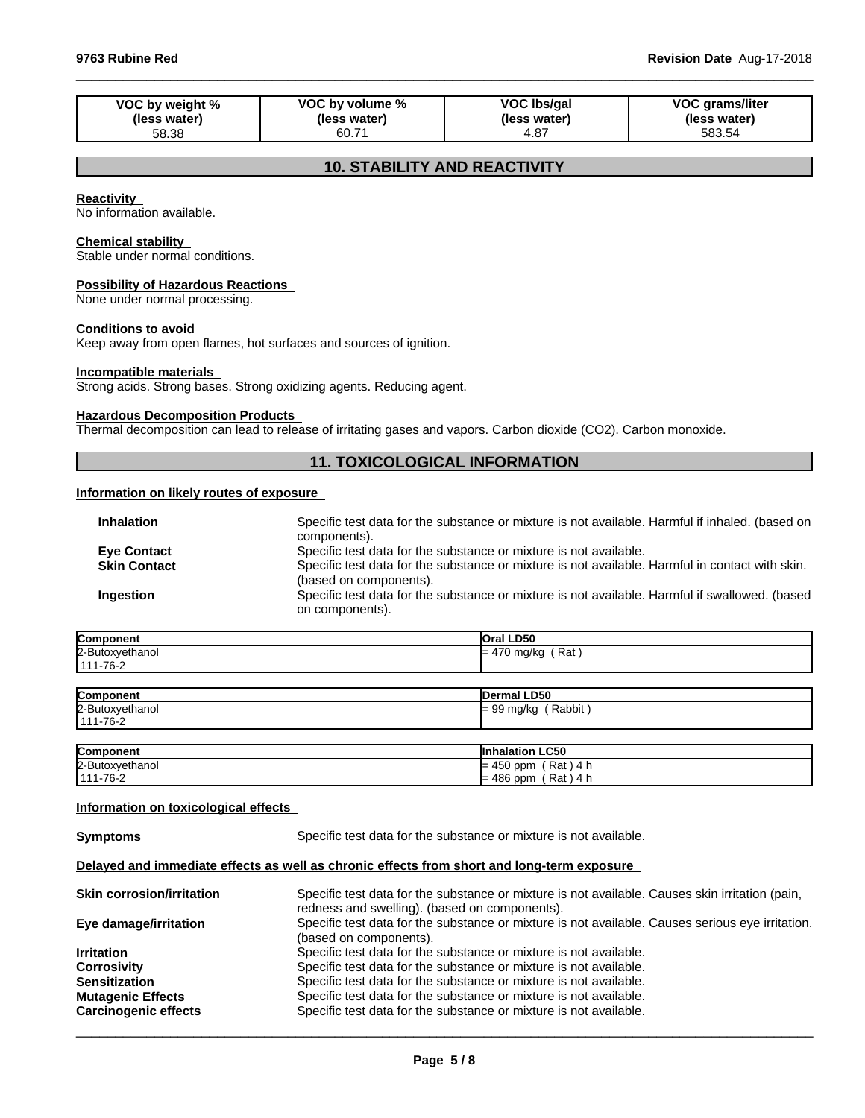| VOC by weight % | VOC by volume % | VOC Ibs/gal  | <b>VOC grams/liter</b> |
|-----------------|-----------------|--------------|------------------------|
| (less water)    | (less water)    | (less water) | (less water)           |
| 58.38           | 60.71           | 4.87         | 583.54                 |

 $\_$  ,  $\_$  ,  $\_$  ,  $\_$  ,  $\_$  ,  $\_$  ,  $\_$  ,  $\_$  ,  $\_$  ,  $\_$  ,  $\_$  ,  $\_$  ,  $\_$  ,  $\_$  ,  $\_$  ,  $\_$  ,  $\_$  ,  $\_$  ,  $\_$  ,  $\_$  ,  $\_$  ,  $\_$  ,  $\_$  ,  $\_$  ,  $\_$  ,  $\_$  ,  $\_$  ,  $\_$  ,  $\_$  ,  $\_$  ,  $\_$  ,  $\_$  ,  $\_$  ,  $\_$  ,  $\_$  ,  $\_$  ,  $\_$  ,

# **10. STABILITY AND REACTIVITY**

#### **Reactivity**

No information available.

#### **Chemical stability**

Stable under normal conditions.

#### **Possibility of Hazardous Reactions**

None under normal processing.

#### **Conditions to avoid**

Keep away from open flames, hot surfaces and sources of ignition.

# **Incompatible materials**

Strong acids. Strong bases. Strong oxidizing agents. Reducing agent.

#### **Hazardous Decomposition Products**

Thermal decomposition can lead to release of irritating gases and vapors. Carbon dioxide (CO2). Carbon monoxide.

# **11. TOXICOLOGICAL INFORMATION**

# **Information on likely routes of exposure**

| <b>Inhalation</b>   | Specific test data for the substance or mixture is not available. Harmful if inhaled. (based on |
|---------------------|-------------------------------------------------------------------------------------------------|
|                     | components).                                                                                    |
| <b>Eve Contact</b>  | Specific test data for the substance or mixture is not available.                               |
| <b>Skin Contact</b> | Specific test data for the substance or mixture is not available. Harmful in contact with skin. |
|                     | (based on components).                                                                          |
| Ingestion           | Specific test data for the substance or mixture is not available. Harmful if swallowed. (based  |
|                     | on components).                                                                                 |

| Component                         | <b>Oral LD50</b>    |
|-----------------------------------|---------------------|
| 2-Butoxyethanol<br>$111 - 76 - 2$ | $= 470$ mg/kg (Rat) |
|                                   |                     |
| Component                         | <b>IDermal LD50</b> |

| <b>POULDOLIGIK</b> | סטעם וסטרוסטו          |
|--------------------|------------------------|
| 2-Butoxyethanol    | Rabbit<br>$= 99$ mg/kg |
| 1111-76-2          |                        |
|                    |                        |

| Component       | <b>Inhalation LC50</b>       |
|-----------------|------------------------------|
| 2-Butoxyethanol | ′ Rat ) 4 h<br>$= 450$ ppm   |
| $ 111 - 76 - 2$ | $'$ Rat ) 4 h<br>$= 486$ ppm |

#### **Information on toxicological effects**

**Symptoms** Specific test data for the substance or mixture is not available.

# **Delayed and immediate effects as well as chronic effects from short and long-term exposure**

| <b>Skin corrosion/irritation</b> | Specific test data for the substance or mixture is not available. Causes skin irritation (pain,  |
|----------------------------------|--------------------------------------------------------------------------------------------------|
|                                  | redness and swelling). (based on components).                                                    |
| Eye damage/irritation            | Specific test data for the substance or mixture is not available. Causes serious eye irritation. |
|                                  | (based on components).                                                                           |
| <b>Irritation</b>                | Specific test data for the substance or mixture is not available.                                |
| <b>Corrosivity</b>               | Specific test data for the substance or mixture is not available.                                |
| <b>Sensitization</b>             | Specific test data for the substance or mixture is not available.                                |
| <b>Mutagenic Effects</b>         | Specific test data for the substance or mixture is not available.                                |
| <b>Carcinogenic effects</b>      | Specific test data for the substance or mixture is not available.                                |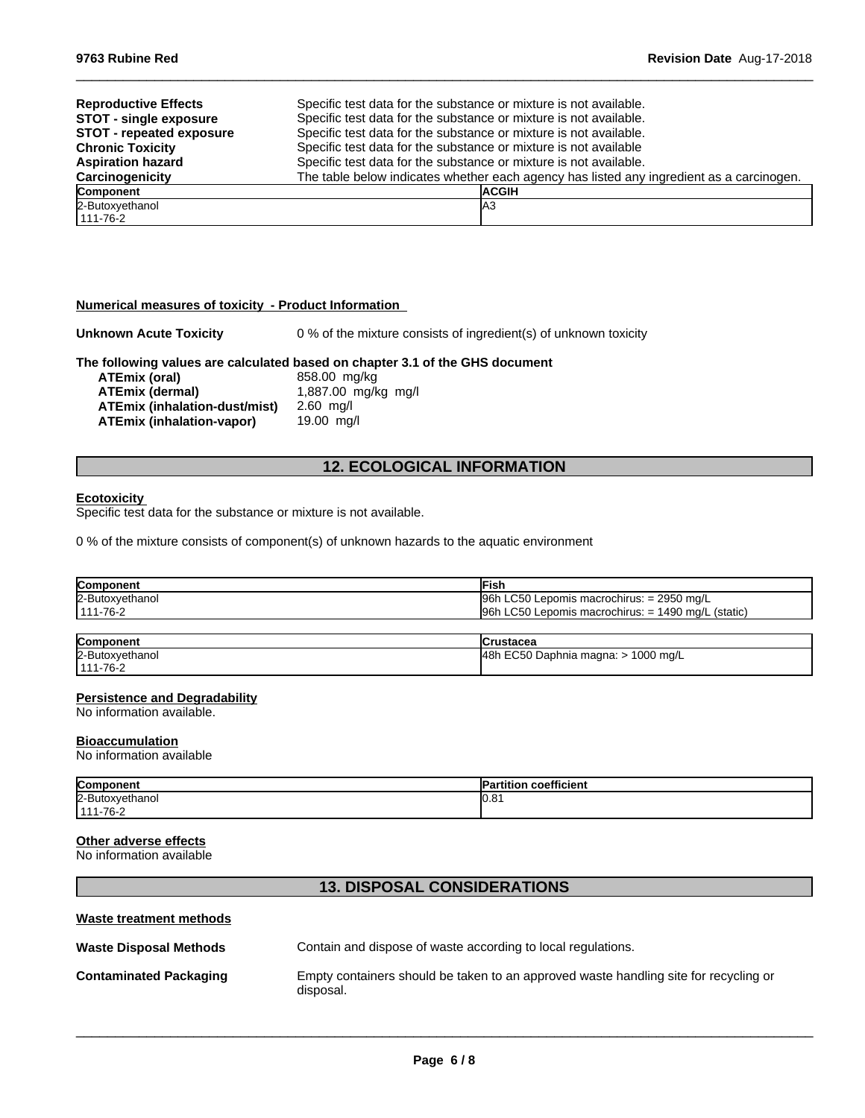| <b>Reproductive Effects</b><br><b>STOT - single exposure</b><br><b>STOT - repeated exposure</b> | Specific test data for the substance or mixture is not available.<br>Specific test data for the substance or mixture is not available.<br>Specific test data for the substance or mixture is not available. |  |
|-------------------------------------------------------------------------------------------------|-------------------------------------------------------------------------------------------------------------------------------------------------------------------------------------------------------------|--|
| <b>Chronic Toxicity</b><br><b>Aspiration hazard</b>                                             | Specific test data for the substance or mixture is not available<br>Specific test data for the substance or mixture is not available.                                                                       |  |
| Carcinogenicity                                                                                 | The table below indicates whether each agency has listed any ingredient as a carcinogen.                                                                                                                    |  |
| <b>Component</b>                                                                                | <b>IACGIH</b>                                                                                                                                                                                               |  |
| 2-Butoxyethanol<br>111-76-2                                                                     | IA3                                                                                                                                                                                                         |  |

 $\_$  ,  $\_$  ,  $\_$  ,  $\_$  ,  $\_$  ,  $\_$  ,  $\_$  ,  $\_$  ,  $\_$  ,  $\_$  ,  $\_$  ,  $\_$  ,  $\_$  ,  $\_$  ,  $\_$  ,  $\_$  ,  $\_$  ,  $\_$  ,  $\_$  ,  $\_$  ,  $\_$  ,  $\_$  ,  $\_$  ,  $\_$  ,  $\_$  ,  $\_$  ,  $\_$  ,  $\_$  ,  $\_$  ,  $\_$  ,  $\_$  ,  $\_$  ,  $\_$  ,  $\_$  ,  $\_$  ,  $\_$  ,  $\_$  ,

## **Numerical measures of toxicity - Product Information**

**Unknown Acute Toxicity** 0 % of the mixture consists of ingredient(s) of unknown toxicity

# **The following values are calculated based on chapter 3.1 of the GHS document**

**ATEmix** (oral) **ATEmix (dermal)**1,887.00 mg/kg mg/l **ATEmix (inhalation-dust/mist)** 2.60 mg/l **ATEmix (inhalation-vapor)** 19.00 mg/l

# **12. ECOLOGICAL INFORMATION**

#### **Ecotoxicity**

Specific test data for the substance or mixture is not available.

0 % of the mixture consists of component(s) of unknown hazards to the aquatic environment

| Component                     | ∙ısh                                                                                    |
|-------------------------------|-----------------------------------------------------------------------------------------|
| 2-Butox<br><u>toxvethanol</u> | C <sub>50</sub><br>2950<br>l96h<br>ma/L<br>∟epomis<br>s macrochirus:<br>$\cdot$ $\cdot$ |
| $1 - 76 - 2$<br>444           | $\mathsf{L}$ C50<br>1490<br>l96h<br>(static)<br>ma/L<br>s macrochirus:<br>Lepomis<br>-  |

| Component       | lCrustacea                          |
|-----------------|-------------------------------------|
| 2-Butoxyethanol | 48h EC50 Daphnia magna: > 1000 mg/L |
| $111 - 76 - 2$  |                                     |

## **Persistence and Degradability**

No information available.

#### **Bioaccumulation**

No information available

| Component<br>11 C I I L           | $\cdots$<br><b>coetricient</b> |
|-----------------------------------|--------------------------------|
| 2-Butox<br>kvethanol              | $\sim$<br><br>IV.O             |
| 7C<br>444<br>$\sim$ $\sim$ $\sim$ |                                |

## **Other adverse effects**

No information available

**Waste treatment methods**

# **13. DISPOSAL CONSIDERATIONS**

| waste treatment methods       |                                                                                                   |
|-------------------------------|---------------------------------------------------------------------------------------------------|
| <b>Waste Disposal Methods</b> | Contain and dispose of waste according to local regulations.                                      |
| <b>Contaminated Packaging</b> | Empty containers should be taken to an approved waste handling site for recycling or<br>disposal. |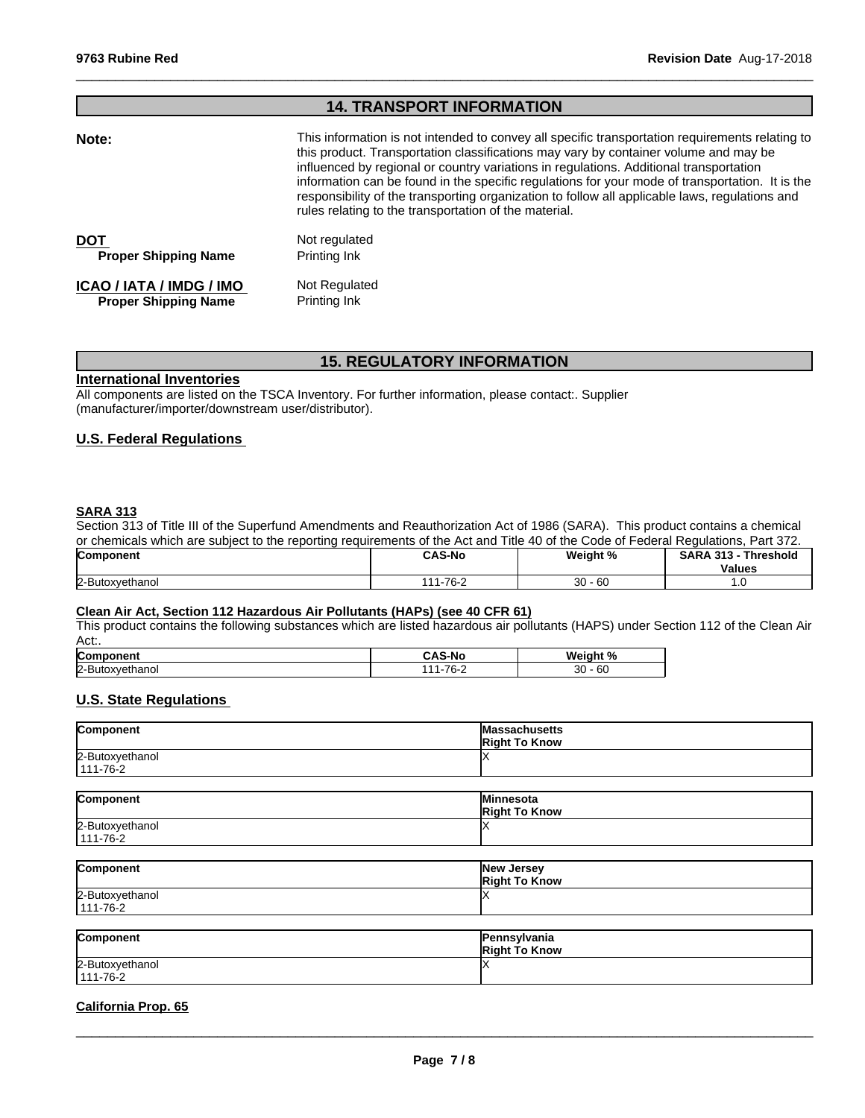# **14. TRANSPORT INFORMATION**

 $\_$  ,  $\_$  ,  $\_$  ,  $\_$  ,  $\_$  ,  $\_$  ,  $\_$  ,  $\_$  ,  $\_$  ,  $\_$  ,  $\_$  ,  $\_$  ,  $\_$  ,  $\_$  ,  $\_$  ,  $\_$  ,  $\_$  ,  $\_$  ,  $\_$  ,  $\_$  ,  $\_$  ,  $\_$  ,  $\_$  ,  $\_$  ,  $\_$  ,  $\_$  ,  $\_$  ,  $\_$  ,  $\_$  ,  $\_$  ,  $\_$  ,  $\_$  ,  $\_$  ,  $\_$  ,  $\_$  ,  $\_$  ,  $\_$  ,

| Note:                       | This information is not intended to convey all specific transportation requirements relating to<br>this product. Transportation classifications may vary by container volume and may be<br>influenced by regional or country variations in regulations. Additional transportation<br>information can be found in the specific regulations for your mode of transportation. It is the<br>responsibility of the transporting organization to follow all applicable laws, regulations and<br>rules relating to the transportation of the material. |
|-----------------------------|-------------------------------------------------------------------------------------------------------------------------------------------------------------------------------------------------------------------------------------------------------------------------------------------------------------------------------------------------------------------------------------------------------------------------------------------------------------------------------------------------------------------------------------------------|
| <b>DOT</b>                  | Not regulated                                                                                                                                                                                                                                                                                                                                                                                                                                                                                                                                   |
| <b>Proper Shipping Name</b> | Printing Ink                                                                                                                                                                                                                                                                                                                                                                                                                                                                                                                                    |
| ICAO / IATA / IMDG / IMO    | Not Regulated                                                                                                                                                                                                                                                                                                                                                                                                                                                                                                                                   |
| <b>Proper Shipping Name</b> | Printing Ink                                                                                                                                                                                                                                                                                                                                                                                                                                                                                                                                    |

# **15. REGULATORY INFORMATION**

#### **International Inventories**

All components are listed on the TSCA Inventory. For further information, please contact:. Supplier (manufacturer/importer/downstream user/distributor).

# **U.S. Federal Regulations**

# **SARA 313**

Section 313 of Title III of the Superfund Amendments and Reauthorization Act of 1986 (SARA). This product contains a chemical or chemicals which are subject to the reporting requirements of the Act and Title 40 of the Code of Federal Regulations, Part 372.

| Component       | <b>CAS-No</b>            | Weight %         | <b>SARA</b><br>-949<br>Threshold<br><b>Values</b> |
|-----------------|--------------------------|------------------|---------------------------------------------------|
| 2-Butoxyethanol | .1-76- <sup>-</sup><br>. | $30 - 60$<br>ັບປ |                                                   |

# **Clean Air Act,Section 112 Hazardous Air Pollutants (HAPs) (see 40 CFR 61)**

This product contains the following substances which are listed hazardous air pollutants (HAPS) under Section 112 of the Clean Air Act:.

| <b>Comp</b><br>.<br>ิ∖onen | ↑S-No<br>-- | <b>Weigh</b><br>О. |
|----------------------------|-------------|--------------------|
| 2-But<br>ethano<br>۵۷.۳    | 7C<br>ັບ 2  | 30<br>$\sim$<br>ხს |

# **U.S. State Regulations**

| Component       | <b>Massachusetts</b><br><b>Right To Know</b> |
|-----------------|----------------------------------------------|
| 2-Butoxyethanol |                                              |
| 111-76-2        |                                              |

| Component       | <b>Minnesota</b><br><b>Right To Know</b> |
|-----------------|------------------------------------------|
| 2-Butoxyethanol |                                          |
| $111 - 76 - 2$  |                                          |

| Component       | New Jersey<br><b>Right To Know</b> |
|-----------------|------------------------------------|
| 2-Butoxyethanol |                                    |
| $111 - 76 - 2$  |                                    |

| Component                         | Pennsylvania<br><b>Right To Know</b> |
|-----------------------------------|--------------------------------------|
| 2-Butoxyethanol<br>$111 - 76 - 2$ |                                      |

## **California Prop. 65**